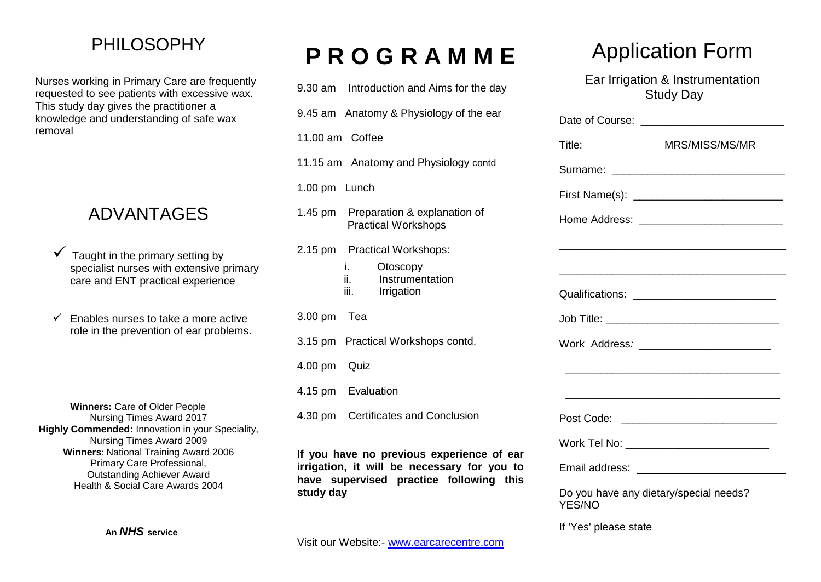### PHILOSOPHY

Nurses working in Primary Care are frequently requested to see patients with excessive wax. This study day gives the practitioner a knowledge and understanding of safe wax removal

### ADVANTAGES

- Taught in the primary setting by specialist nurses with extensive primary care and ENT practical experience
- $\checkmark$  Enables nurses to take a more active role in the prevention of ear problems.

**Winners:** Care of Older People Nursing Times Award 2017 **Highly Commended:** Innovation in your Speciality, Nursing Times Award 2009 **Winners**: National Training Award 2006 Primary Care Professional, Outstanding Achiever Award Health & Social Care Awards 2004

# **P R O G R A M M E**

| 9.30 am Introduction and Aims for the day                                                                                                        |
|--------------------------------------------------------------------------------------------------------------------------------------------------|
| 9.45 am Anatomy & Physiology of the ear                                                                                                          |
| 11.00 am Coffee                                                                                                                                  |
| 11.15 am Anatomy and Physiology contd                                                                                                            |
| 1.00 pm Lunch                                                                                                                                    |
| 1.45 pm Preparation & explanation of<br><b>Practical Workshops</b>                                                                               |
| 2.15 pm Practical Workshops:                                                                                                                     |
| i. I<br>Otoscopy<br>ii.<br>Instrumentation<br>iii. In the<br>Irrigation                                                                          |
| 3.00 pm Tea                                                                                                                                      |
| 3.15 pm Practical Workshops contd.                                                                                                               |
| 4.00 pm Quiz                                                                                                                                     |
| 4.15 pm Evaluation                                                                                                                               |
| 4.30 pm Certificates and Conclusion                                                                                                              |
| If you have no previous experience of ear<br>irrigation, it will be necessary for you to<br>have supervised practice following this<br>study day |

# Application Form

Ear Irrigation & Instrumentation Study Day

| Title:                                           | MRS/MISS/MS/MR                               |
|--------------------------------------------------|----------------------------------------------|
|                                                  |                                              |
|                                                  |                                              |
|                                                  | Home Address: ____________________________   |
|                                                  |                                              |
|                                                  |                                              |
|                                                  | Qualifications: ____________________________ |
|                                                  |                                              |
|                                                  | Work Address: _________________________      |
|                                                  |                                              |
|                                                  |                                              |
|                                                  | Post Code: ______________________________    |
|                                                  | Work Tel No: ___________________________     |
|                                                  |                                              |
| Do you have any dietary/special needs?<br>YES/NO |                                              |

If 'Yes' please state